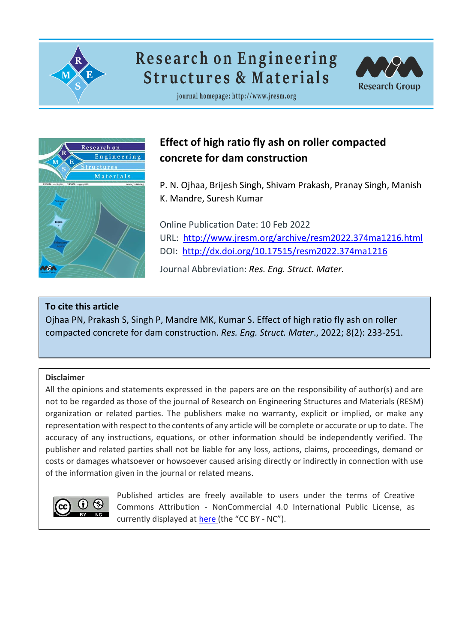

# **Research on Engineering Structures & Materials**



journal homepage: http://www.jresm.org



# **Effect of high ratio fly ash on roller compacted concrete for dam construction**

P. N. Ojhaa, Brijesh Singh, Shivam Prakash, Pranay Singh, Manish K. Mandre, Suresh Kumar

Online Publication Date: 10 Feb 2022 URL: <http://www.jresm.org/archive/resm2022.374ma1216.html> DOI: <http://dx.doi.org/10.17515/resm2022.374ma1216>

Journal Abbreviation: *Res. Eng. Struct. Mater.*

# **To cite this article**

Ojhaa PN, Prakash S, Singh P, Mandre MK, Kumar S. Effect of high ratio fly ash on roller compacted concrete for dam construction. *Res. Eng. Struct. Mater*., 2022; 8(2): 233-251.

# **Disclaimer**

All the opinions and statements expressed in the papers are on the responsibility of author(s) and are not to be regarded as those of the journal of Research on Engineering Structures and Materials (RESM) organization or related parties. The publishers make no warranty, explicit or implied, or make any representation with respect to the contents of any article will be complete or accurate or up to date. The accuracy of any instructions, equations, or other information should be independently verified. The publisher and related parties shall not be liable for any loss, actions, claims, proceedings, demand or costs or damages whatsoever or howsoever caused arising directly or indirectly in connection with use of the information given in the journal or related means.



Published articles are freely available to users under the terms of Creative Commons Attribution ‐ NonCommercial 4.0 International Public License, as currently displayed at [here](https://creativecommons.org/licenses/by-nc/4.0/legalcode) (the "CC BY - NC").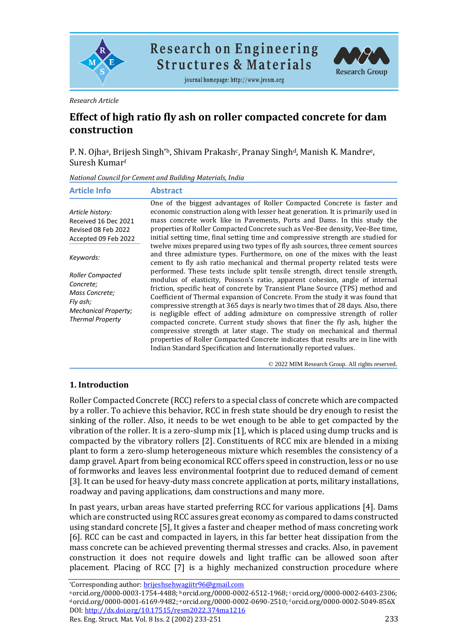

**Research on Engineering Structures & Materials** 

journal homepage: http://www.jresm.org



*Research Article*

# **Effect of high ratio fly ash on roller compacted concrete for dam construction**

P. N. Ojhaª, Brijesh Singh\*ʰ, Shivam Prakash¢, Pranay Singhª, Manish K. Mandreª, Suresh Kumar<sup>f</sup>

*National Council for Cement and Building Materials, India*

| One of the biggest advantages of Roller Compacted Concrete is faster and<br>economic construction along with lesser heat generation. It is primarily used in<br>Article history:<br>mass concrete work like in Pavements, Ports and Dams. In this study the<br>Received 16 Dec 2021<br>properties of Roller Compacted Concrete such as Vee-Bee density, Vee-Bee time,<br>Revised 08 Feb 2022<br>initial setting time, final setting time and compressive strength are studied for<br>Accepted 09 Feb 2022<br>twelve mixes prepared using two types of fly ash sources, three cement sources<br>and three admixture types. Furthermore, on one of the mixes with the least<br>Keywords:<br>cement to fly ash ratio mechanical and thermal property related tests were<br>performed. These tests include split tensile strength, direct tensile strength,<br><b>Roller Compacted</b><br>modulus of elasticity, Poisson's ratio, apparent cohesion, angle of internal<br>Concrete;<br>friction, specific heat of concrete by Transient Plane Source (TPS) method and<br>Mass Concrete;<br>Coefficient of Thermal expansion of Concrete. From the study it was found that<br>Fly ash;<br>compressive strength at 365 days is nearly two times that of 28 days. Also, there<br><b>Mechanical Property;</b><br>is negligible effect of adding admixture on compressive strength of roller<br><b>Thermal Property</b><br>compacted concrete. Current study shows that finer the fly ash, higher the<br>compressive strength at later stage. The study on mechanical and thermal<br>properties of Roller Compacted Concrete indicates that results are in line with | <b>Article Info</b> | <b>Abstract</b>                                                    |
|-------------------------------------------------------------------------------------------------------------------------------------------------------------------------------------------------------------------------------------------------------------------------------------------------------------------------------------------------------------------------------------------------------------------------------------------------------------------------------------------------------------------------------------------------------------------------------------------------------------------------------------------------------------------------------------------------------------------------------------------------------------------------------------------------------------------------------------------------------------------------------------------------------------------------------------------------------------------------------------------------------------------------------------------------------------------------------------------------------------------------------------------------------------------------------------------------------------------------------------------------------------------------------------------------------------------------------------------------------------------------------------------------------------------------------------------------------------------------------------------------------------------------------------------------------------------------------------------------------------------------------------------------------------|---------------------|--------------------------------------------------------------------|
|                                                                                                                                                                                                                                                                                                                                                                                                                                                                                                                                                                                                                                                                                                                                                                                                                                                                                                                                                                                                                                                                                                                                                                                                                                                                                                                                                                                                                                                                                                                                                                                                                                                             |                     | Indian Standard Specification and Internationally reported values. |

© 2022 MIM Research Group. All rights reserved.

#### **1. Introduction**

Roller Compacted Concrete (RCC) refers to a special class of concrete which are compacted by a roller. To achieve this behavior, RCC in fresh state should be dry enough to resist the sinking of the roller. Also, it needs to be wet enough to be able to get compacted by the vibration of the roller. It is a zero-slump mix [1], which is placed using dump trucks and is compacted by the vibratory rollers [2]. Constituents of RCC mix are blended in a mixing plant to form a zero-slump heterogeneous mixture which resembles the consistency of a damp gravel. Apart from being economical RCC offers speed in construction, less or no use of formworks and leaves less environmental footprint due to reduced demand of cement [3]. It can be used for heavy-duty mass concrete application at ports, military installations, roadway and paving applications, dam constructions and many more.

In past years, urban areas have started preferring RCC for various applications [4]. Dams which are constructed using RCC assures great economy as compared to dams constructed using standard concrete [5], It gives a faster and cheaper method of mass concreting work [6]. RCC can be cast and compacted in layers, in this far better heat dissipation from the mass concrete can be achieved preventing thermal stresses and cracks. Also, in pavement construction it does not require dowels and light traffic can be allowed soon after placement. Placing of RCC [7] is a highly mechanized construction procedure where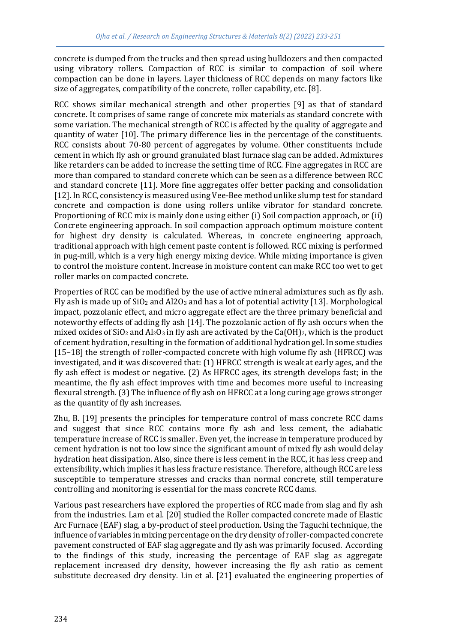concrete is dumped from the trucks and then spread using bulldozers and then compacted using vibratory rollers. Compaction of RCC is similar to compaction of soil where compaction can be done in layers. Layer thickness of RCC depends on many factors like size of aggregates, compatibility of the concrete, roller capability, etc. [8].

RCC shows similar mechanical strength and other properties [9] as that of standard concrete. It comprises of same range of concrete mix materials as standard concrete with some variation. The mechanical strength of RCC is affected by the quality of aggregate and quantity of water [10]. The primary difference lies in the percentage of the constituents. RCC consists about 70-80 percent of aggregates by volume. Other constituents include cement in which fly ash or ground granulated blast furnace slag can be added. Admixtures like retarders can be added to increase the setting time of RCC. Fine aggregates in RCC are more than compared to standard concrete which can be seen as a difference between RCC and standard concrete [11]. More fine aggregates offer better packing and consolidation [12]. In RCC, consistency is measured using Vee-Bee method unlike slump test for standard concrete and compaction is done using rollers unlike vibrator for standard concrete. Proportioning of RCC mix is mainly done using either (i) Soil compaction approach, or (ii) Concrete engineering approach. In soil compaction approach optimum moisture content for highest dry density is calculated. Whereas, in concrete engineering approach, traditional approach with high cement paste content is followed. RCC mixing is performed in pug-mill, which is a very high energy mixing device. While mixing importance is given to control the moisture content. Increase in moisture content can make RCC too wet to get roller marks on compacted concrete.

Properties of RCC can be modified by the use of active mineral admixtures such as fly ash. Fly ash is made up of  $SiO<sub>2</sub>$  and Al2O<sub>3</sub> and has a lot of potential activity [13]. Morphological impact, pozzolanic effect, and micro aggregate effect are the three primary beneficial and noteworthy effects of adding fly ash [14]. The pozzolanic action of fly ash occurs when the mixed oxides of SiO<sub>2</sub> and Al<sub>2</sub>O<sub>3</sub> in fly ash are activated by the Ca(OH)<sub>2</sub>, which is the product of cement hydration, resulting in the formation of additional hydration gel. In some studies [15–18] the strength of roller-compacted concrete with high volume fly ash (HFRCC) was investigated, and it was discovered that: (1) HFRCC strength is weak at early ages, and the fly ash effect is modest or negative. (2) As HFRCC ages, its strength develops fast; in the meantime, the fly ash effect improves with time and becomes more useful to increasing flexural strength. (3) The influence of fly ash on HFRCC at a long curing age grows stronger as the quantity of fly ash increases.

Zhu, B. [19] presents the principles for temperature control of mass concrete RCC dams and suggest that since RCC contains more fly ash and less cement, the adiabatic temperature increase of RCC is smaller. Even yet, the increase in temperature produced by cement hydration is not too low since the significant amount of mixed fly ash would delay hydration heat dissipation. Also, since there is less cement in the RCC, it has less creep and extensibility, which implies it has less fracture resistance. Therefore, although RCC are less susceptible to temperature stresses and cracks than normal concrete, still temperature controlling and monitoring is essential for the mass concrete RCC dams.

Various past researchers have explored the properties of RCC made from slag and fly ash from the industries. Lam et al. [20] studied the Roller compacted concrete made of Elastic Arc Furnace (EAF) slag, a by-product of steel production. Using the Taguchi technique, the influence of variables in mixing percentage on the dry density of roller-compacted concrete pavement constructed of EAF slag aggregate and fly ash was primarily focused. According to the findings of this study, increasing the percentage of EAF slag as aggregate replacement increased dry density, however increasing the fly ash ratio as cement substitute decreased dry density. Lin et al. [21] evaluated the engineering properties of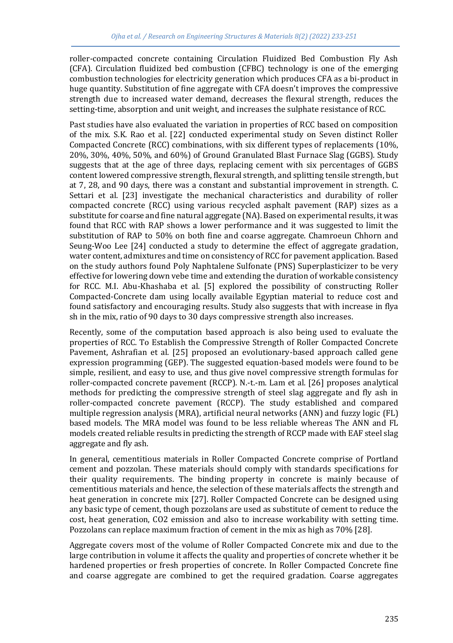roller-compacted concrete containing Circulation Fluidized Bed Combustion Fly Ash (CFA). Circulation fluidized bed combustion (CFBC) technology is one of the emerging combustion technologies for electricity generation which produces CFA as a bi-product in huge quantity. Substitution of fine aggregate with CFA doesn't improves the compressive strength due to increased water demand, decreases the flexural strength, reduces the setting-time, absorption and unit weight, and increases the sulphate resistance of RCC.

Past studies have also evaluated the variation in properties of RCC based on composition of the mix. S.K. Rao et al. [22] conducted experimental study on Seven distinct Roller Compacted Concrete (RCC) combinations, with six different types of replacements (10%, 20%, 30%, 40%, 50%, and 60%) of Ground Granulated Blast Furnace Slag (GGBS). Study suggests that at the age of three days, replacing cement with six percentages of GGBS content lowered compressive strength, flexural strength, and splitting tensile strength, but at 7, 28, and 90 days, there was a constant and substantial improvement in strength. C. Settari et al. [23] investigate the mechanical characteristics and durability of roller compacted concrete (RCC) using various recycled asphalt pavement (RAP) sizes as a substitute for coarse and fine natural aggregate (NA). Based on experimental results, it was found that RCC with RAP shows a lower performance and it was suggested to limit the substitution of RAP to 50% on both fine and coarse aggregate. Chamroeun Chhorn and Seung-Woo Lee [24] conducted a study to determine the effect of aggregate gradation, water content, admixtures and time on consistency of RCC for pavement application. Based on the study authors found Poly Naphtalene Sulfonate (PNS) Superplasticizer to be very effective for lowering down vebe time and extending the duration of workable consistency for RCC. M.I. Abu-Khashaba et al. [5] explored the possibility of constructing Roller Compacted-Concrete dam using locally available Egyptian material to reduce cost and found satisfactory and encouraging results. Study also suggests that with increase in flya sh in the mix, ratio of 90 days to 30 days compressive strength also increases.

Recently, some of the computation based approach is also being used to evaluate the properties of RCC. To Establish the Compressive Strength of Roller Compacted Concrete Pavement, Ashrafian et al. [25] proposed an evolutionary-based approach called gene expression programming (GEP). The suggested equation-based models were found to be simple, resilient, and easy to use, and thus give novel compressive strength formulas for roller-compacted concrete pavement (RCCP). N.-t.-m. Lam et al. [26] proposes analytical methods for predicting the compressive strength of steel slag aggregate and fly ash in roller-compacted concrete pavement (RCCP). The study established and compared multiple regression analysis (MRA), artificial neural networks (ANN) and fuzzy logic (FL) based models. The MRA model was found to be less reliable whereas The ANN and FL models created reliable results in predicting the strength of RCCP made with EAF steel slag aggregate and fly ash.

In general, cementitious materials in Roller Compacted Concrete comprise of Portland cement and pozzolan. These materials should comply with standards specifications for their quality requirements. The binding property in concrete is mainly because of cementitious materials and hence, the selection of these materials affects the strength and heat generation in concrete mix [27]. Roller Compacted Concrete can be designed using any basic type of cement, though pozzolans are used as substitute of cement to reduce the cost, heat generation, CO2 emission and also to increase workability with setting time. Pozzolans can replace maximum fraction of cement in the mix as high as 70% [28].

Aggregate covers most of the volume of Roller Compacted Concrete mix and due to the large contribution in volume it affects the quality and properties of concrete whether it be hardened properties or fresh properties of concrete. In Roller Compacted Concrete fine and coarse aggregate are combined to get the required gradation. Coarse aggregates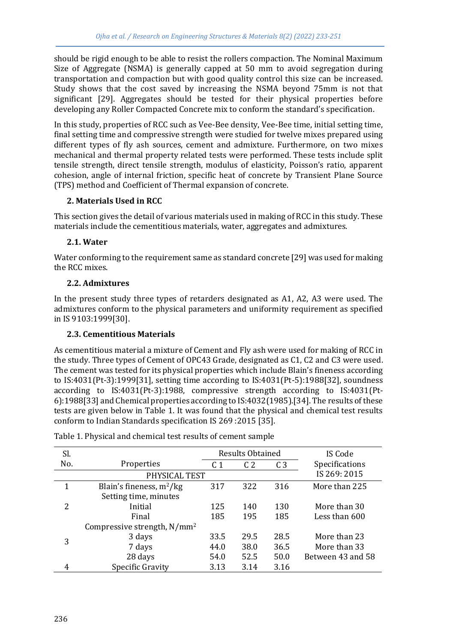should be rigid enough to be able to resist the rollers compaction. The Nominal Maximum Size of Aggregate (NSMA) is generally capped at 50 mm to avoid segregation during transportation and compaction but with good quality control this size can be increased. Study shows that the cost saved by increasing the NSMA beyond 75mm is not that significant [29]. Aggregates should be tested for their physical properties before developing any Roller Compacted Concrete mix to conform the standard's specification.

In this study, properties of RCC such as Vee-Bee density, Vee-Bee time, initial setting time, final setting time and compressive strength were studied for twelve mixes prepared using different types of fly ash sources, cement and admixture. Furthermore, on two mixes mechanical and thermal property related tests were performed. These tests include split tensile strength, direct tensile strength, modulus of elasticity, Poisson's ratio, apparent cohesion, angle of internal friction, specific heat of concrete by Transient Plane Source (TPS) method and Coefficient of Thermal expansion of concrete.

#### **2. Materials Used in RCC**

This section gives the detail of various materials used in making of RCC in this study. These materials include the cementitious materials, water, aggregates and admixtures.

### **2.1. Water**

Water conforming to the requirement same as standard concrete [29] was used for making the RCC mixes.

### **2.2. Admixtures**

In the present study three types of retarders designated as A1, A2, A3 were used. The admixtures conform to the physical parameters and uniformity requirement as specified in IS 9103:1999[30].

#### **2.3. Cementitious Materials**

As cementitious material a mixture of Cement and Fly ash were used for making of RCC in the study. Three types of Cement of OPC43 Grade, designated as C1, C2 and C3 were used. The cement was tested for its physical properties which include Blain's fineness according to IS:4031(Pt-3):1999[31], setting time according to IS:4031(Pt-5):1988[32], soundness according to IS:4031(Pt-3):1988, compressive strength according to IS:4031(Pt-6):1988[33] and Chemical properties according to IS:4032(1985).[34]. The results of these tests are given below in Table 1. It was found that the physical and chemical test results conform to Indian Standards specification IS 269 :2015 [35].

| Sl. |                                         | <b>Results Obtained</b> |                |                |                   |
|-----|-----------------------------------------|-------------------------|----------------|----------------|-------------------|
| No. | Properties                              | C <sub>1</sub>          | C <sub>2</sub> | C <sub>3</sub> | Specifications    |
|     | PHYSICAL TEST                           |                         |                |                | IS 269: 2015      |
| 1   | Blain's fineness, $m^2/kg$              | 317                     | 322            | 316            | More than 225     |
|     | Setting time, minutes                   |                         |                |                |                   |
| 2   | Initial                                 | 125                     | 140            | 130            | More than 30      |
|     | Final                                   | 185                     | 195            | 185            | Less than 600     |
|     | Compressive strength, N/mm <sup>2</sup> |                         |                |                |                   |
| 3   | 3 days                                  | 33.5                    | 29.5           | 28.5           | More than 23      |
|     | 7 days                                  | 44.0                    | 38.0           | 36.5           | More than 33      |
|     | 28 days                                 | 54.0                    | 52.5           | 50.0           | Between 43 and 58 |
| 4   | Specific Gravity                        | 3.13                    | 3.14           | 3.16           |                   |

Table 1. Physical and chemical test results of cement sample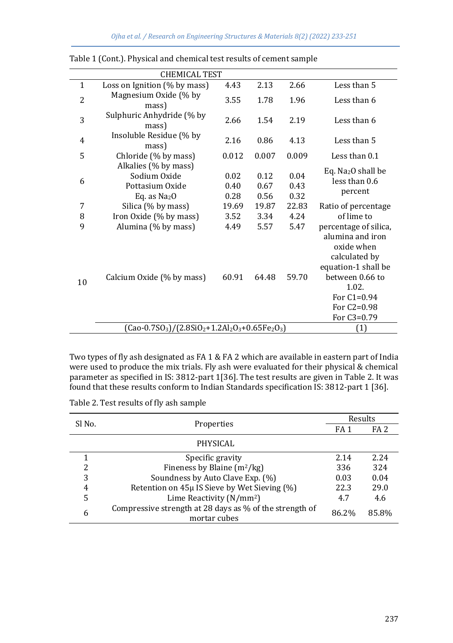|                | <b>CHEMICAL TEST</b>                                                     |                      |                      |                      |                                                                                                 |  |  |
|----------------|--------------------------------------------------------------------------|----------------------|----------------------|----------------------|-------------------------------------------------------------------------------------------------|--|--|
| $\mathbf{1}$   | Loss on Ignition $(\%$ by mass)                                          | 4.43                 | 2.13                 | 2.66                 | Less than 5                                                                                     |  |  |
| $\overline{2}$ | Magnesium Oxide (% by<br>mass)                                           | 3.55                 | 1.78                 | 1.96                 | Less than 6                                                                                     |  |  |
| 3              | Sulphuric Anhydride (% by<br>mass)                                       | 2.66                 | 1.54                 | 2.19                 | Less than 6                                                                                     |  |  |
| $\overline{4}$ | Insoluble Residue (% by<br>mass)                                         | 2.16                 | 0.86                 | 4.13                 | Less than 5                                                                                     |  |  |
| 5              | Chloride (% by mass)                                                     | 0.012                | 0.007                | 0.009                | Less than 0.1                                                                                   |  |  |
| 6              | Alkalies (% by mass)<br>Sodium Oxide<br>Pottasium Oxide<br>Eq. as $Na2O$ | 0.02<br>0.40<br>0.28 | 0.12<br>0.67<br>0.56 | 0.04<br>0.43<br>0.32 | Eq. Na <sub>2</sub> O shall be<br>less than 0.6<br>percent                                      |  |  |
| 7              | Silica (% by mass)                                                       | 19.69                | 19.87                | 22.83                | Ratio of percentage                                                                             |  |  |
| 8              | Iron Oxide (% by mass)                                                   | 3.52                 | 3.34                 | 4.24                 | of lime to                                                                                      |  |  |
| 9              | Alumina (% by mass)                                                      | 4.49                 | 5.57                 | 5.47                 | percentage of silica,<br>alumina and iron<br>oxide when<br>calculated by<br>equation-1 shall be |  |  |
| 10             | Calcium Oxide (% by mass)                                                | 60.91                | 64.48                | 59.70                | between 0.66 to<br>1.02.<br>For $C1 = 0.94$<br>For C2=0.98<br>For C3=0.79                       |  |  |
|                | $(Cao-0.7SO3)/(2.8SiO2+1.2Al2O3+0.65Fe2O3)$                              |                      |                      |                      | (1)                                                                                             |  |  |

| Table 1 (Cont.). Physical and chemical test results of cement sample |  |  |  |
|----------------------------------------------------------------------|--|--|--|
|                                                                      |  |  |  |

Two types of fly ash designated as FA 1 & FA 2 which are available in eastern part of India were used to produce the mix trials. Fly ash were evaluated for their physical & chemical parameter as specified in IS: 3812-part 1[36]. The test results are given in Table 2. It was found that these results conform to Indian Standards specification IS: 3812-part 1 [36].

| Sl No.        |                                                                         | Results         |                 |  |
|---------------|-------------------------------------------------------------------------|-----------------|-----------------|--|
|               | Properties                                                              | FA <sub>1</sub> | FA <sub>2</sub> |  |
|               | PHYSICAL                                                                |                 |                 |  |
|               | Specific gravity                                                        | 2.14            | 2.24            |  |
| $\mathcal{P}$ | Fineness by Blaine $(m^2/kg)$                                           | 336             | 324             |  |
| 3             | Soundness by Auto Clave Exp. (%)                                        | 0.03            | 0.04            |  |
| 4             | Retention on 45µ IS Sieve by Wet Sieving (%)                            | 22.3            | 29.0            |  |
| 5             | Lime Reactivity $(N/mm^2)$                                              | 4.7             | 4.6             |  |
| 6             | Compressive strength at 28 days as % of the strength of<br>mortar cubes | 86.2%           | 85.8%           |  |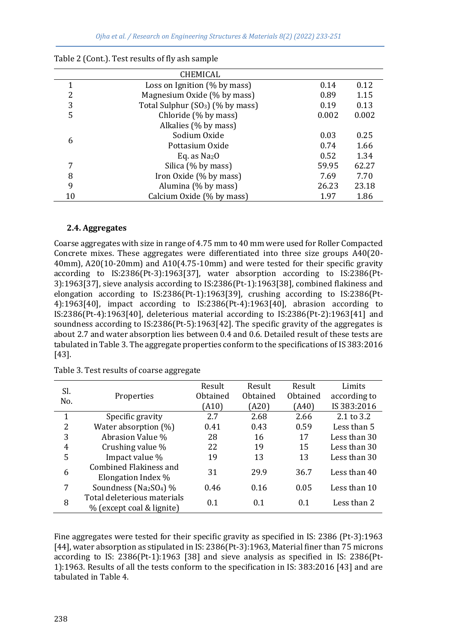|    | CHEMICAL                                     |       |       |
|----|----------------------------------------------|-------|-------|
|    | Loss on Ignition $(\%$ by mass)              | 0.14  | 0.12  |
| 2  | Magnesium Oxide (% by mass)                  | 0.89  | 1.15  |
| 3  | Total Sulphur (SO <sub>3</sub> ) (% by mass) | 0.19  | 0.13  |
| 5  | Chloride (% by mass)                         | 0.002 | 0.002 |
|    | Alkalies (% by mass)                         |       |       |
|    | Sodium Oxide                                 | 0.03  | 0.25  |
| 6  | Pottasium Oxide                              | 0.74  | 1.66  |
|    | Eq. as $Na2O$                                | 0.52  | 1.34  |
|    | Silica (% by mass)                           | 59.95 | 62.27 |
| 8  | Iron Oxide (% by mass)                       | 7.69  | 7.70  |
| 9  | Alumina (% by mass)                          | 26.23 | 23.18 |
| 10 | Calcium Oxide (% by mass)                    | 1.97  | 1.86  |

| Table 2 (Cont.). Test results of fly ash sample |  |  |  |  |
|-------------------------------------------------|--|--|--|--|
|                                                 |  |  |  |  |

#### **2.4. Aggregates**

Coarse aggregates with size in range of 4.75 mm to 40 mm were used for Roller Compacted Concrete mixes. These aggregates were differentiated into three size groups A40(20- 40mm), A20(10-20mm) and A10(4.75-10mm) and were tested for their specific gravity according to IS:2386(Pt-3):1963[37], water absorption according to IS:2386(Pt-3):1963[37], sieve analysis according to IS:2386(Pt-1):1963[38], combined flakiness and elongation according to IS:2386(Pt-1):1963[39], crushing according to IS:2386(Pt-4):1963[40], impact according to IS:2386(Pt-4):1963[40], abrasion according to IS:2386(Pt-4):1963[40], deleterious material according to IS:2386(Pt-2):1963[41] and soundness according to IS:2386(Pt-5):1963[42]. The specific gravity of the aggregates is about 2.7 and water absorption lies between 0.4 and 0.6. Detailed result of these tests are tabulated in Table 3. The aggregate properties conform to the specifications of IS 383:2016 [43].

| Sl. |                                                          | Result   | Result   | Result   | Limits       |
|-----|----------------------------------------------------------|----------|----------|----------|--------------|
| No. | Properties                                               | Obtained | Obtained | Obtained | according to |
|     |                                                          | (A10)    | (A20)    | (A40)    | IS 383:2016  |
| 1   | Specific gravity                                         | 2.7      | 2.68     | 2.66     | 2.1 to $3.2$ |
| 2   | Water absorption (%)                                     | 0.41     | 0.43     | 0.59     | Less than 5  |
| 3   | Abrasion Value %                                         | 28       | 16       | 17       | Less than 30 |
| 4   | Crushing value %                                         | 22       | 19       | 15       | Less than 30 |
| 5   | Impact value %                                           | 19       | 13       | 13       | Less than 30 |
| 6   | Combined Flakiness and<br>Elongation Index %             | 31       | 29.9     | 36.7     | Less than 40 |
| 7   | Soundness (Na2SO <sub>4</sub> ) %                        | 0.46     | 0.16     | 0.05     | Less than 10 |
| 8   | Total deleterious materials<br>% (except coal & lignite) | 0.1      | 0.1      | 0.1      | Less than 2  |

Table 3. Test results of coarse aggregate

Fine aggregates were tested for their specific gravity as specified in IS: 2386 (Pt-3):1963 [44], water absorption as stipulated in IS: 2386(Pt-3):1963, Material finer than 75 microns according to IS: 2386(Pt-1):1963 [38] and sieve analysis as specified in IS: 2386(Pt-1):1963. Results of all the tests conform to the specification in IS: 383:2016 [43] and are tabulated in Table 4.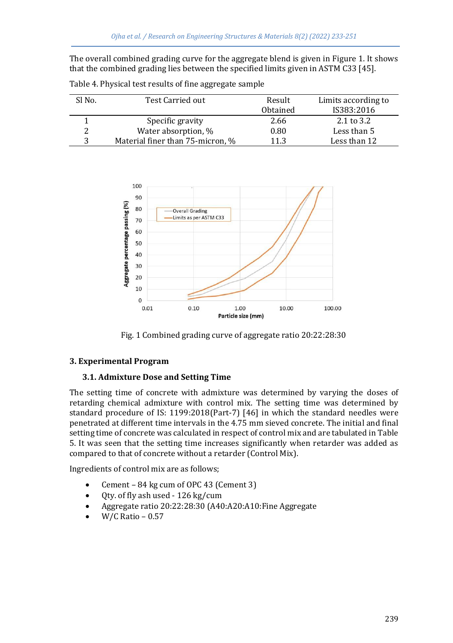The overall combined grading curve for the aggregate blend is given in Figure 1. It shows that the combined grading lies between the specified limits given in ASTM C33 [45].

| Sl No. | Test Carried out                 | Result   | Limits according to |
|--------|----------------------------------|----------|---------------------|
|        |                                  | Obtained | IS383:2016          |
|        | Specific gravity                 | 2.66     | 2.1 to 3.2          |
|        | Water absorption, %              | 0.80     | Less than 5         |
|        | Material finer than 75-micron, % | 11.3     | Less than 12        |

Table 4. Physical test results of fine aggregate sample



Fig. 1 Combined grading curve of aggregate ratio 20:22:28:30

#### **3. Experimental Program**

#### **3.1. Admixture Dose and Setting Time**

The setting time of concrete with admixture was determined by varying the doses of retarding chemical admixture with control mix. The setting time was determined by standard procedure of IS: 1199:2018(Part-7) [46] in which the standard needles were penetrated at different time intervals in the 4.75 mm sieved concrete. The initial and final setting time of concrete was calculated in respect of control mix and are tabulated in Table 5. It was seen that the setting time increases significantly when retarder was added as compared to that of concrete without a retarder (Control Mix).

Ingredients of control mix are as follows;

- Cement 84 kg cum of OPC 43 (Cement 3)
- Qty. of fly ash used 126 kg/cum
- Aggregate ratio 20:22:28:30 (A40:A20:A10:Fine Aggregate
- W/C Ratio 0.57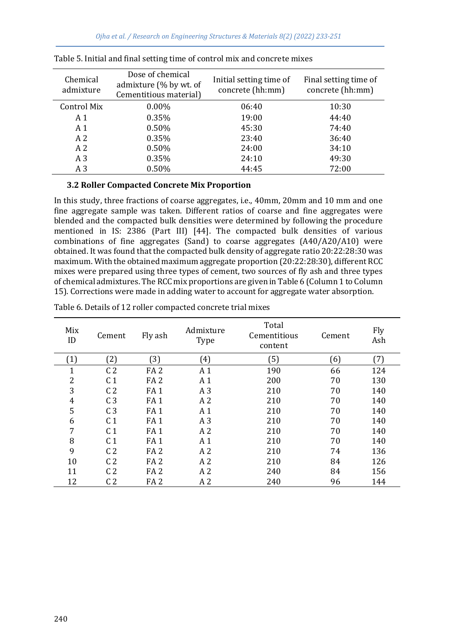| Chemical<br>admixture | Dose of chemical<br>admixture (% by wt. of<br>Cementitious material) | Initial setting time of<br>concrete (hh:mm) | Final setting time of<br>concrete (hh:mm) |
|-----------------------|----------------------------------------------------------------------|---------------------------------------------|-------------------------------------------|
| Control Mix           | $0.00\%$                                                             | 06:40                                       | 10:30                                     |
| A <sub>1</sub>        | 0.35%                                                                | 19:00                                       | 44:40                                     |
| A <sub>1</sub>        | 0.50%                                                                | 45:30                                       | 74:40                                     |
| A <sub>2</sub>        | 0.35%                                                                | 23:40                                       | 36:40                                     |
| A <sub>2</sub>        | 0.50%                                                                | 24:00                                       | 34:10                                     |
| A <sub>3</sub>        | 0.35%                                                                | 24:10                                       | 49:30                                     |
| A <sub>3</sub>        | 0.50%                                                                | 44:45                                       | 72:00                                     |

|  |  | Table 5. Initial and final setting time of control mix and concrete mixes |  |
|--|--|---------------------------------------------------------------------------|--|
|  |  |                                                                           |  |

#### **3.2 Roller Compacted Concrete Mix Proportion**

In this study, three fractions of coarse aggregates, i.e., 40mm, 20mm and 10 mm and one fine aggregate sample was taken. Different ratios of coarse and fine aggregates were blended and the compacted bulk densities were determined by following the procedure mentioned in IS: 2386 (Part III) [44]. The compacted bulk densities of various combinations of fine aggregates (Sand) to coarse aggregates (A40/A20/A10) were obtained. It was found that the compacted bulk density of aggregate ratio 20:22:28:30 was maximum. With the obtained maximum aggregate proportion (20:22:28:30), different RCC mixes were prepared using three types of cement, two sources of fly ash and three types of chemical admixtures. The RCC mix proportions are given in Table 6 (Column 1 to Column 15). Corrections were made in adding water to account for aggregate water absorption.

| Mix<br>ID | Cement         | Fly ash         | Admixture<br>Type | Total<br>Cementitious<br>content | Cement | Fly<br>Ash |
|-----------|----------------|-----------------|-------------------|----------------------------------|--------|------------|
| (1)       | (2)            | (3)             | (4)               | (5)                              | (6)    | (7)        |
| 1         | C <sub>2</sub> | FA <sub>2</sub> | A <sub>1</sub>    | 190                              | 66     | 124        |
| 2         | C <sub>1</sub> | FA <sub>2</sub> | A <sub>1</sub>    | 200                              | 70     | 130        |
| 3         | C <sub>2</sub> | FA <sub>1</sub> | A <sub>3</sub>    | 210                              | 70     | 140        |
| 4         | C <sub>3</sub> | FA <sub>1</sub> | A <sub>2</sub>    | 210                              | 70     | 140        |
| 5         | C <sub>3</sub> | FA <sub>1</sub> | A <sub>1</sub>    | 210                              | 70     | 140        |
| 6         | C <sub>1</sub> | FA <sub>1</sub> | A <sub>3</sub>    | 210                              | 70     | 140        |
| 7         | C <sub>1</sub> | FA <sub>1</sub> | A <sub>2</sub>    | 210                              | 70     | 140        |
| 8         | C <sub>1</sub> | FA <sub>1</sub> | A 1               | 210                              | 70     | 140        |
| 9         | C <sub>2</sub> | FA <sub>2</sub> | A <sub>2</sub>    | 210                              | 74     | 136        |
| 10        | C <sub>2</sub> | FA <sub>2</sub> | A <sub>2</sub>    | 210                              | 84     | 126        |
| 11        | C <sub>2</sub> | FA <sub>2</sub> | A <sub>2</sub>    | 240                              | 84     | 156        |
| 12        | C <sub>2</sub> | FA <sub>2</sub> | A <sub>2</sub>    | 240                              | 96     | 144        |

Table 6. Details of 12 roller compacted concrete trial mixes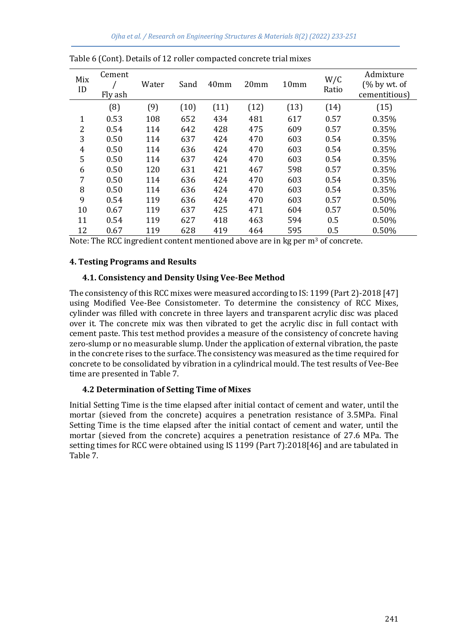| Mix<br>ID    | Cement<br>Fly ash | Water | Sand | 40 <sub>mm</sub> | 20 <sub>mm</sub> | 10 <sub>mm</sub> | W/C<br>Ratio | Admixture<br>(% by wt. of<br>cementitious) |
|--------------|-------------------|-------|------|------------------|------------------|------------------|--------------|--------------------------------------------|
|              | (8)               | (9)   | (10) | (11)             | (12)             | (13)             | (14)         | (15)                                       |
| $\mathbf{1}$ | 0.53              | 108   | 652  | 434              | 481              | 617              | 0.57         | 0.35%                                      |
| 2            | 0.54              | 114   | 642  | 428              | 475              | 609              | 0.57         | 0.35%                                      |
| 3            | 0.50              | 114   | 637  | 424              | 470              | 603              | 0.54         | 0.35%                                      |
| 4            | 0.50              | 114   | 636  | 424              | 470              | 603              | 0.54         | 0.35%                                      |
| 5            | 0.50              | 114   | 637  | 424              | 470              | 603              | 0.54         | 0.35%                                      |
| 6            | 0.50              | 120   | 631  | 421              | 467              | 598              | 0.57         | 0.35%                                      |
| 7            | 0.50              | 114   | 636  | 424              | 470              | 603              | 0.54         | 0.35%                                      |
| 8            | 0.50              | 114   | 636  | 424              | 470              | 603              | 0.54         | 0.35%                                      |
| 9            | 0.54              | 119   | 636  | 424              | 470              | 603              | 0.57         | 0.50%                                      |
| 10           | 0.67              | 119   | 637  | 425              | 471              | 604              | 0.57         | 0.50%                                      |
| 11           | 0.54              | 119   | 627  | 418              | 463              | 594              | 0.5          | 0.50%                                      |
| 12           | 0.67              | 119   | 628  | 419              | 464              | 595              | 0.5          | 0.50%                                      |

|  | Table 6 (Cont). Details of 12 roller compacted concrete trial mixes |  |  |
|--|---------------------------------------------------------------------|--|--|
|  |                                                                     |  |  |

Note: The RCC ingredient content mentioned above are in kg per  $m<sup>3</sup>$  of concrete.

#### **4. Testing Programs and Results**

#### **4.1. Consistency and Density Using Vee-Bee Method**

The consistency of this RCC mixes were measured according to IS: 1199 (Part 2)-2018 [47] using Modified Vee-Bee Consistometer. To determine the consistency of RCC Mixes, cylinder was filled with concrete in three layers and transparent acrylic disc was placed over it. The concrete mix was then vibrated to get the acrylic disc in full contact with cement paste. This test method provides a measure of the consistency of concrete having zero-slump or no measurable slump. Under the application of external vibration, the paste in the concrete rises to the surface. The consistency was measured as the time required for concrete to be consolidated by vibration in a cylindrical mould. The test results of Vee-Bee time are presented in Table 7.

#### **4.2 Determination of Setting Time of Mixes**

Initial Setting Time is the time elapsed after initial contact of cement and water, until the mortar (sieved from the concrete) acquires a penetration resistance of 3.5MPa. Final Setting Time is the time elapsed after the initial contact of cement and water, until the mortar (sieved from the concrete) acquires a penetration resistance of 27.6 MPa. The setting times for RCC were obtained using IS 1199 (Part 7):2018[46] and are tabulated in Table 7.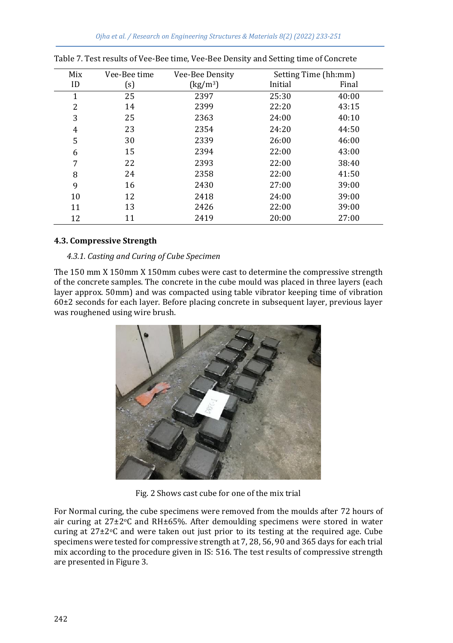| Mix | Vee-Bee time | Vee-Bee Density             | Setting Time (hh:mm) |       |
|-----|--------------|-----------------------------|----------------------|-------|
| ID  | (s)          | $\left({\rm kg/m^3}\right)$ | Initial              | Final |
| 1   | 25           | 2397                        | 25:30                | 40:00 |
| 2   | 14           | 2399                        | 22:20                | 43:15 |
| 3   | 25           | 2363                        | 24:00                | 40:10 |
| 4   | 23           | 2354                        | 24:20                | 44:50 |
| 5   | 30           | 2339                        | 26:00                | 46:00 |
| 6   | 15           | 2394                        | 22:00                | 43:00 |
| 7   | 22           | 2393                        | 22:00                | 38:40 |
| 8   | 24           | 2358                        | 22:00                | 41:50 |
| 9   | 16           | 2430                        | 27:00                | 39:00 |
| 10  | 12           | 2418                        | 24:00                | 39:00 |
| 11  | 13           | 2426                        | 22:00                | 39:00 |
| 12  | 11           | 2419                        | 20:00                | 27:00 |

|  | Table 7. Test results of Vee-Bee time, Vee-Bee Density and Setting time of Concrete |  |  |
|--|-------------------------------------------------------------------------------------|--|--|
|  |                                                                                     |  |  |
|  |                                                                                     |  |  |
|  |                                                                                     |  |  |

#### **4.3. Compressive Strength**

#### *4.3.1. Casting and Curing of Cube Specimen*

The 150 mm X 150mm X 150mm cubes were cast to determine the compressive strength of the concrete samples. The concrete in the cube mould was placed in three layers (each layer approx. 50mm) and was compacted using table vibrator keeping time of vibration 60±2 seconds for each layer. Before placing concrete in subsequent layer, previous layer was roughened using wire brush.



Fig. 2 Shows cast cube for one of the mix trial

For Normal curing, the cube specimens were removed from the moulds after 72 hours of air curing at  $27\pm2\degree$ C and RH $\pm65\%$ . After demoulding specimens were stored in water curing at 27±2°C and were taken out just prior to its testing at the required age. Cube specimens were tested for compressive strength at 7, 28, 56, 90 and 365 days for each trial mix according to the procedure given in IS: 516. The test results of compressive strength are presented in Figure 3.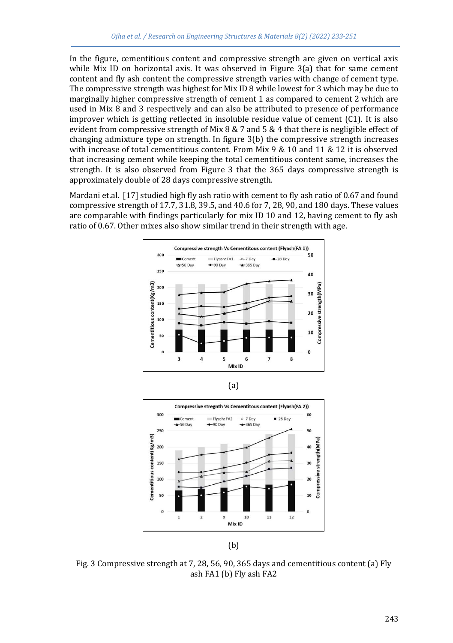In the figure, cementitious content and compressive strength are given on vertical axis while Mix ID on horizontal axis. It was observed in Figure 3(a) that for same cement content and fly ash content the compressive strength varies with change of cement type. The compressive strength was highest for Mix ID 8 while lowest for 3 which may be due to marginally higher compressive strength of cement 1 as compared to cement 2 which are used in Mix 8 and 3 respectively and can also be attributed to presence of performance improver which is getting reflected in insoluble residue value of cement (C1). It is also evident from compressive strength of Mix 8 & 7 and 5 & 4 that there is negligible effect of changing admixture type on strength. In figure 3(b) the compressive strength increases with increase of total cementitious content. From Mix 9 & 10 and 11 & 12 it is observed that increasing cement while keeping the total cementitious content same, increases the strength. It is also observed from Figure 3 that the 365 days compressive strength is approximately double of 28 days compressive strength.

Mardani et.al. [17] studied high fly ash ratio with cement to fly ash ratio of 0.67 and found compressive strength of 17.7, 31.8, 39.5, and 40.6 for 7, 28, 90, and 180 days. These values are comparable with findings particularly for mix ID 10 and 12, having cement to fly ash ratio of 0.67. Other mixes also show similar trend in their strength with age.







(b)

Fig. 3 Compressive strength at 7, 28, 56, 90, 365 days and cementitious content (a) Fly ash FA1 (b) Fly ash FA2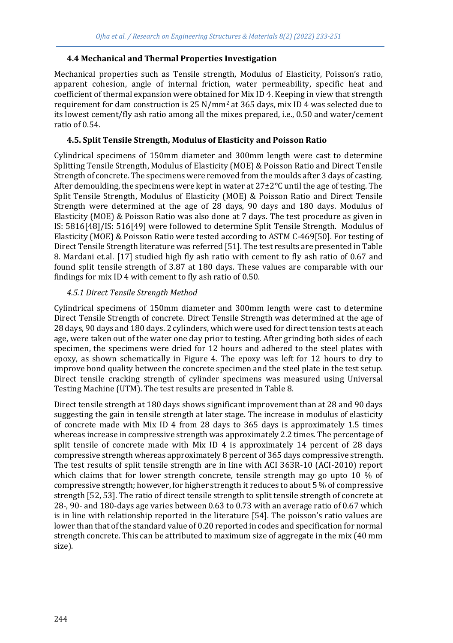#### **4.4 Mechanical and Thermal Properties Investigation**

Mechanical properties such as Tensile strength, Modulus of Elasticity, Poisson's ratio, apparent cohesion, angle of internal friction, water permeability, specific heat and coefficient of thermal expansion were obtained for Mix ID 4. Keeping in view that strength requirement for dam construction is  $25 \text{ N/mm}^2$  at  $365 \text{ days}$ , mix ID 4 was selected due to its lowest cement/fly ash ratio among all the mixes prepared, i.e., 0.50 and water/cement ratio of 0.54.

#### **4.5. Split Tensile Strength, Modulus of Elasticity and Poisson Ratio**

Cylindrical specimens of 150mm diameter and 300mm length were cast to determine Splitting Tensile Strength, Modulus of Elasticity (MOE) & Poisson Ratio and Direct Tensile Strength of concrete. The specimens were removed from the moulds after 3 days of casting. After demoulding, the specimens were kept in water at  $27\pm2^{\circ}$ C until the age of testing. The Split Tensile Strength, Modulus of Elasticity (MOE) & Poisson Ratio and Direct Tensile Strength were determined at the age of 28 days, 90 days and 180 days. Modulus of Elasticity (MOE) & Poisson Ratio was also done at 7 days. The test procedure as given in IS: 5816[48]/IS: 516[49] were followed to determine Split Tensile Strength. Modulus of Elasticity (MOE) & Poisson Ratio were tested according to ASTM C-469[50]. For testing of Direct Tensile Strength literature was referred [51]. The test results are presented in Table 8. Mardani et.al. [17] studied high fly ash ratio with cement to fly ash ratio of 0.67 and found split tensile strength of 3.87 at 180 days. These values are comparable with our findings for mix ID 4 with cement to fly ash ratio of 0.50.

#### *4.5.1 Direct Tensile Strength Method*

Cylindrical specimens of 150mm diameter and 300mm length were cast to determine Direct Tensile Strength of concrete. Direct Tensile Strength was determined at the age of 28 days, 90 days and 180 days. 2 cylinders, which were used for direct tension tests at each age, were taken out of the water one day prior to testing. After grinding both sides of each specimen, the specimens were dried for 12 hours and adhered to the steel plates with epoxy, as shown schematically in Figure 4. The epoxy was left for 12 hours to dry to improve bond quality between the concrete specimen and the steel plate in the test setup. Direct tensile cracking strength of cylinder specimens was measured using Universal Testing Machine (UTM). The test results are presented in Table 8.

Direct tensile strength at 180 days shows significant improvement than at 28 and 90 days suggesting the gain in tensile strength at later stage. The increase in modulus of elasticity of concrete made with Mix ID 4 from 28 days to 365 days is approximately 1.5 times whereas increase in compressive strength was approximately 2.2 times. The percentage of split tensile of concrete made with Mix ID 4 is approximately 14 percent of 28 days compressive strength whereas approximately 8 percent of 365 days compressive strength. The test results of split tensile strength are in line with ACI 363R-10 (ACI-2010) report which claims that for lower strength concrete, tensile strength may go upto 10 % of compressive strength; however, for higher strength it reduces to about 5 % of compressive strength [52, 53]. The ratio of direct tensile strength to split tensile strength of concrete at 28-, 90- and 180-days age varies between 0.63 to 0.73 with an average ratio of 0.67 which is in line with relationship reported in the literature [54]. The poisson's ratio values are lower than that of the standard value of 0.20 reported in codes and specification for normal strength concrete. This can be attributed to maximum size of aggregate in the mix (40 mm size).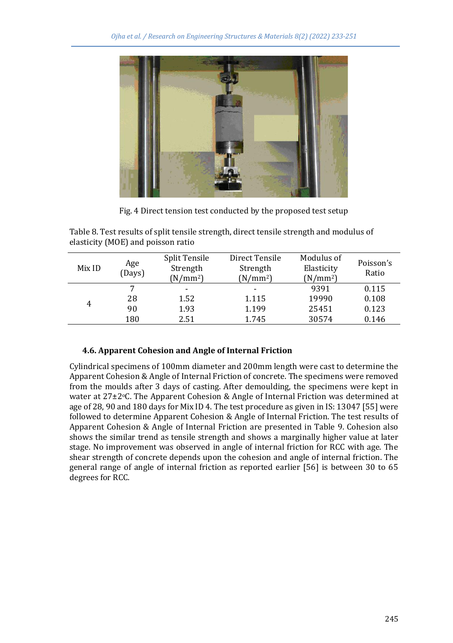

Fig. 4 Direct tension test conducted by the proposed test setup

Table 8. Test results of split tensile strength, direct tensile strength and modulus of elasticity (MOE) and poisson ratio

| Mix ID | Age<br>(Days) | <b>Split Tensile</b><br>Strength<br>$(N/mm^2)$ | Direct Tensile<br>Strength<br>$(N/mm^2)$ | Modulus of<br>Elasticity<br>$(N/mm^2)$ | Poisson's<br>Ratio |
|--------|---------------|------------------------------------------------|------------------------------------------|----------------------------------------|--------------------|
|        | 7             | $\overline{\phantom{0}}$                       | -                                        | 9391                                   | 0.115              |
|        | 28            | 1.52                                           | 1.115                                    | 19990                                  | 0.108              |
| 4      | 90            | 1.93                                           | 1.199                                    | 25451                                  | 0.123              |
|        | 180           | 2.51                                           | 1.745                                    | 30574                                  | 0.146              |

# **4.6. Apparent Cohesion and Angle of Internal Friction**

Cylindrical specimens of 100mm diameter and 200mm length were cast to determine the Apparent Cohesion & Angle of Internal Friction of concrete. The specimens were removed from the moulds after 3 days of casting. After demoulding, the specimens were kept in water at  $27\pm2\degree$ C. The Apparent Cohesion & Angle of Internal Friction was determined at age of 28, 90 and 180 days for Mix ID 4. The test procedure as given in IS: 13047 [55] were followed to determine Apparent Cohesion & Angle of Internal Friction. The test results of Apparent Cohesion & Angle of Internal Friction are presented in Table 9. Cohesion also shows the similar trend as tensile strength and shows a marginally higher value at later stage. No improvement was observed in angle of internal friction for RCC with age. The shear strength of concrete depends upon the cohesion and angle of internal friction. The general range of angle of internal friction as reported earlier [56] is between 30 to 65 degrees for RCC.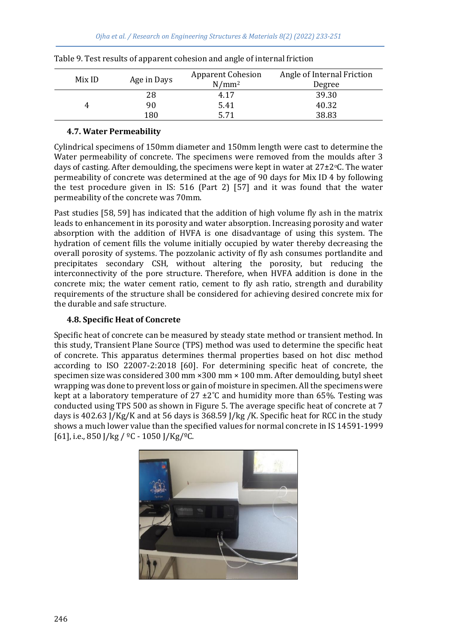| Mix ID |             | <b>Apparent Cohesion</b> | Angle of Internal Friction |  |
|--------|-------------|--------------------------|----------------------------|--|
|        | Age in Days | $N/mm^2$                 | Degree                     |  |
|        | 28          | 4.17                     | 39.30                      |  |
|        | 90          | 5.41                     | 40.32                      |  |
|        | 180         | 5 71                     | 38.83                      |  |

Table 9. Test results of apparent cohesion and angle of internal friction

#### **4.7. Water Permeability**

Cylindrical specimens of 150mm diameter and 150mm length were cast to determine the Water permeability of concrete. The specimens were removed from the moulds after 3 days of casting. After demoulding, the specimens were kept in water at  $27\pm2\degree$ C. The water permeability of concrete was determined at the age of 90 days for Mix ID 4 by following the test procedure given in IS: 516 (Part 2) [57] and it was found that the water permeability of the concrete was 70mm.

Past studies [58, 59] has indicated that the addition of high volume fly ash in the matrix leads to enhancement in its porosity and water absorption. Increasing porosity and water absorption with the addition of HVFA is one disadvantage of using this system. The hydration of cement fills the volume initially occupied by water thereby decreasing the overall porosity of systems. The pozzolanic activity of fly ash consumes portlandite and precipitates secondary CSH, without altering the porosity, but reducing the interconnectivity of the pore structure. Therefore, when HVFA addition is done in the concrete mix; the water cement ratio, cement to fly ash ratio, strength and durability requirements of the structure shall be considered for achieving desired concrete mix for the durable and safe structure.

#### **4.8. Specific Heat of Concrete**

Specific heat of concrete can be measured by steady state method or transient method. In this study, Transient Plane Source (TPS) method was used to determine the specific heat of concrete. This apparatus determines thermal properties based on hot disc method according to ISO 22007-2:2018 [60]. For determining specific heat of concrete, the specimen size was considered 300 mm ×300 mm × 100 mm. After demoulding, butyl sheet wrapping was done to prevent loss or gain of moisture in specimen. All the specimens were kept at a laboratory temperature of  $27 \pm 2^{\circ}$ C and humidity more than 65%. Testing was conducted using TPS 500 as shown in Figure 5. The average specific heat of concrete at 7 days is 402.63 J/Kg/K and at 56 days is 368.59 J/kg /K. Specific heat for RCC in the study shows a much lower value than the specified values for normal concrete in IS 14591-1999 [61], i.e., 850 J/kg /  $°C - 1050$  J/Kg/ $°C$ .

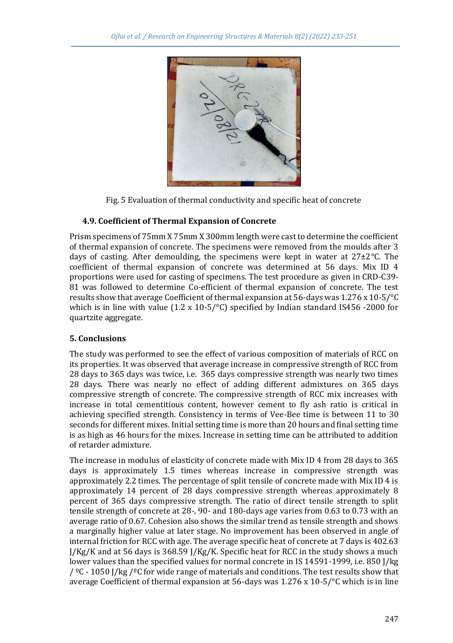

Fig. 5 Evaluation of thermal conductivity and specific heat of concrete

#### **4.9. Coefficient of Thermal Expansion of Concrete**

Prism specimens of 75mm X 75mm X 300mm length were cast to determine the coefficient of thermal expansion of concrete. The specimens were removed from the moulds after 3 days of casting. After demoulding, the specimens were kept in water at  $27\pm2\degree$ C. The coefficient of thermal expansion of concrete was determined at 56 days. Mix ID 4 proportions were used for casting of specimens. The test procedure as given in CRD-C39- 81 was followed to determine Co-efficient of thermal expansion of concrete. The test results show that average Coefficient of thermal expansion at 56-days was 1.276 x 10-5/°C which is in line with value (1.2 x 10-5/°C) specified by Indian standard IS456 -2000 for quartzite aggregate.

# **5. Conclusions**

The study was performed to see the effect of various composition of materials of RCC on its properties. It was observed that average increase in compressive strength of RCC from 28 days to 365 days was twice, i.e. 365 days compressive strength was nearly two times 28 days. There was nearly no effect of adding different admixtures on 365 days compressive strength of concrete. The compressive strength of RCC mix increases with increase in total cementitious content, however cement to fly ash ratio is critical in achieving specified strength. Consistency in terms of Vee-Bee time is between 11 to 30 seconds for different mixes. Initial setting time is more than 20 hours and final setting time is as high as 46 hours for the mixes. Increase in setting time can be attributed to addition of retarder admixture.

The increase in modulus of elasticity of concrete made with Mix ID 4 from 28 days to 365 days is approximately 1.5 times whereas increase in compressive strength was approximately 2.2 times. The percentage of split tensile of concrete made with Mix ID 4 is approximately 14 percent of 28 days compressive strength whereas approximately 8 percent of 365 days compressive strength. The ratio of direct tensile strength to split tensile strength of concrete at 28-, 90- and 180-days age varies from 0.63 to 0.73 with an average ratio of 0.67. Cohesion also shows the similar trend as tensile strength and shows a marginally higher value at later stage. No improvement has been observed in angle of internal friction for RCC with age. The average specific heat of concrete at 7 days is 402.63  $J/Kg/K$  and at 56 days is 368.59  $J/Kg/K$ . Specific heat for RCC in the study shows a much lower values than the specified values for normal concrete in IS 14591-1999, i.e. 850 J/kg /  $°C$  - 1050 J/kg /  $°C$  for wide range of materials and conditions. The test results show that average Coefficient of thermal expansion at 56-days was  $1.276 \times 10^{-5}$  /°C which is in line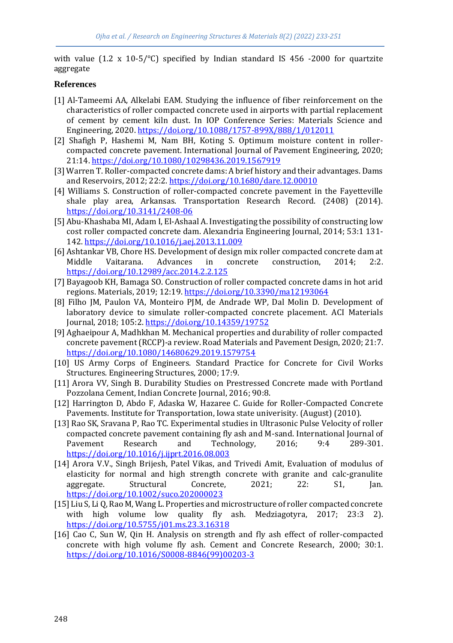with value (1.2 x 10-5/°C) specified by Indian standard IS 456 -2000 for quartzite aggregate

#### **References**

- [1] Al-Tameemi AA, Alkelabi EAM. Studying the influence of fiber reinforcement on the characteristics of roller compacted concrete used in airports with partial replacement of cement by cement kiln dust. In IOP Conference Series: Materials Science and Engineering, 2020.<https://doi.org/10.1088/1757-899X/888/1/012011>
- [2] Shafigh P, Hashemi M, Nam BH, Koting S. Optimum moisture content in rollercompacted concrete pavement. International Journal of Pavement Engineering, 2020; 21:14[. https://doi.org/10.1080/10298436.2019.1567919](https://doi.org/10.1080/10298436.2019.1567919)
- [3] Warren T. Roller-compacted concrete dams: A brief history and their advantages. Dams and Reservoirs, 2012; 22:2[. https://doi.org/10.1680/dare.12.00010](https://doi.org/10.1680/dare.12.00010)
- [4] Williams S. Construction of roller-compacted concrete pavement in the Fayetteville shale play area, Arkansas. Transportation Research Record. (2408) (2014). <https://doi.org/10.3141/2408-06>
- [5] Abu-Khashaba MI, Adam I, El-Ashaal A. Investigating the possibility of constructing low cost roller compacted concrete dam. Alexandria Engineering Journal, 2014; 53:1 131- 142[. https://doi.org/10.1016/j.aej.2013.11.009](https://doi.org/10.1016/j.aej.2013.11.009)
- [6] Ashtankar VB, Chore HS. Development of design mix roller compacted concrete dam at Middle Vaitarana. Advances in concrete construction, 2014; 2:2. <https://doi.org/10.12989/acc.2014.2.2.125>
- [7] Bayagoob KH, Bamaga SO. Construction of roller compacted concrete dams in hot arid regions. Materials, 2019; 12:19. <https://doi.org/10.3390/ma12193064>
- [8] Filho JM, Paulon VA, Monteiro PJM, de Andrade WP, Dal Molin D. Development of laboratory device to simulate roller-compacted concrete placement. ACI Materials Journal, 2018; 105:2[. https://doi.org/10.14359/19752](https://doi.org/10.14359/19752)
- [9] Aghaeipour A, Madhkhan M. Mechanical properties and durability of roller compacted concrete pavement (RCCP)-a review. Road Materials and Pavement Design, 2020; 21:7. <https://doi.org/10.1080/14680629.2019.1579754>
- [10] US Army Corps of Engineers. Standard Practice for Concrete for Civil Works Structures. Engineering Structures, 2000; 17:9.
- [11] Arora VV, Singh B. Durability Studies on Prestressed Concrete made with Portland Pozzolana Cement, Indian Concrete Journal, 2016; 90:8.
- [12] Harrington D, Abdo F, Adaska W, Hazaree C. Guide for Roller-Compacted Concrete Pavements. Institute for Transportation, Iowa state univerisity. (August) (2010).
- [13] Rao SK, Sravana P, Rao TC. Experimental studies in Ultrasonic Pulse Velocity of roller compacted concrete pavement containing fly ash and M-sand. International Journal of Pavement Research and Technology, 2016; 9:4 289-301. <https://doi.org/10.1016/j.ijprt.2016.08.003>
- [14] Arora V.V., Singh Brijesh, Patel Vikas, and Trivedi Amit, Evaluation of modulus of elasticity for normal and high strength concrete with granite and calc‐granulite aggregate. Structural Concrete, 2021; 22: S1, Jan. <https://doi.org/10.1002/suco.202000023>
- [15] Liu S, Li Q, Rao M, Wang L. Properties and microstructure of roller compacted concrete with high volume low quality fly ash. Medziagotyra, 2017; 23:3 2). <https://doi.org/10.5755/j01.ms.23.3.16318>
- [16] Cao C, Sun W, Qin H. Analysis on strength and fly ash effect of roller-compacted concrete with high volume fly ash. Cement and Concrete Research, 2000; 30:1. [https://doi.org/10.1016/S0008-8846\(99\)00203-3](https://doi.org/10.1016/S0008-8846(99)00203-3)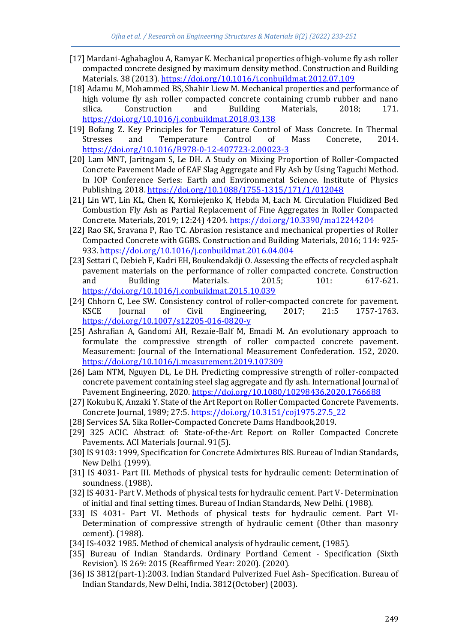- [17] Mardani-Aghabaglou A, Ramyar K. Mechanical properties of high-volume fly ash roller compacted concrete designed by maximum density method. Construction and Building Materials. 38 (2013).<https://doi.org/10.1016/j.conbuildmat.2012.07.109>
- [18] Adamu M, Mohammed BS, Shahir Liew M. Mechanical properties and performance of high volume fly ash roller compacted concrete containing crumb rubber and nano silica. Construction and Building Materials, 2018; 171. <https://doi.org/10.1016/j.conbuildmat.2018.03.138>
- [19] Bofang Z. Key Principles for Temperature Control of Mass Concrete. In Thermal Stresses and Temperature Control of Mass Concrete, 2014. <https://doi.org/10.1016/B978-0-12-407723-2.00023-3>
- [20] Lam MNT, Jaritngam S, Le DH. A Study on Mixing Proportion of Roller-Compacted Concrete Pavement Made of EAF Slag Aggregate and Fly Ash by Using Taguchi Method. In IOP Conference Series: Earth and Environmental Science. Institute of Physics Publishing, 2018.<https://doi.org/10.1088/1755-1315/171/1/012048>
- [21] Lin WT, Lin KL, Chen K, Korniejenko K, Hebda M, Łach M. Circulation Fluidized Bed Combustion Fly Ash as Partial Replacement of Fine Aggregates in Roller Compacted Concrete. Materials, 2019; 12:24) 4204[. https://doi.org/10.3390/ma12244204](https://doi.org/10.3390/ma12244204)
- [22] Rao SK, Sravana P, Rao TC. Abrasion resistance and mechanical properties of Roller Compacted Concrete with GGBS. Construction and Building Materials, 2016; 114: 925- 933[. https://doi.org/10.1016/j.conbuildmat.2016.04.004](https://doi.org/10.1016/j.conbuildmat.2016.04.004)
- [23] Settari C, Debieb F, Kadri EH, Boukendakdji O. Assessing the effects of recycled asphalt pavement materials on the performance of roller compacted concrete. Construction and Building Materials. 2015; 101: 617-621. <https://doi.org/10.1016/j.conbuildmat.2015.10.039>
- [24] Chhorn C, Lee SW. Consistency control of roller-compacted concrete for pavement. KSCE Journal of Civil Engineering, 2017; 21:5 1757-1763. <https://doi.org/10.1007/s12205-016-0820-y>
- [25] Ashrafian A, Gandomi AH, Rezaie-Balf M, Emadi M. An evolutionary approach to formulate the compressive strength of roller compacted concrete pavement. Measurement: Journal of the International Measurement Confederation. 152, 2020. <https://doi.org/10.1016/j.measurement.2019.107309>
- [26] Lam NTM, Nguyen DL, Le DH. Predicting compressive strength of roller-compacted concrete pavement containing steel slag aggregate and fly ash. International Journal of Pavement Engineering, 2020[. https://doi.org/10.1080/10298436.2020.1766688](https://doi.org/10.1080/10298436.2020.1766688)
- [27] Kokubu K, Anzaki Y. State of the Art Report on Roller Compacted Concrete Pavements. Concrete Journal, 1989; 27:5. [https://doi.org/10.3151/coj1975.27.5\\_22](https://doi.org/10.3151/coj1975.27.5_22)
- [28] Services SA. Sika Roller-Compacted Concrete Dams Handbook,2019.
- [29] 325 ACIC. Abstract of: State-of-the-Art Report on Roller Compacted Concrete Pavements. ACI Materials Journal. 91(5).
- [30] IS 9103: 1999, Specification for Concrete Admixtures BIS. Bureau of Indian Standards, New Delhi. (1999).
- [31] IS 4031- Part III. Methods of physical tests for hydraulic cement: Determination of soundness. (1988).
- [32] IS 4031- Part V. Methods of physical tests for hydraulic cement. Part V- Determination of initial and final setting times. Bureau of Indian Standards, New Delhi. (1988).
- [33] IS 4031- Part VI. Methods of physical tests for hydraulic cement. Part VI-Determination of compressive strength of hydraulic cement (Other than masonry cement). (1988).
- [34] IS-4032 1985. Method of chemical analysis of hydraulic cement, (1985).
- [35] Bureau of Indian Standards. Ordinary Portland Cement Specification (Sixth Revision). IS 269: 2015 (Reaffirmed Year: 2020). (2020).
- [36] IS 3812(part-1):2003. Indian Standard Pulverized Fuel Ash- Specification. Bureau of Indian Standards, New Delhi, India. 3812(October) (2003).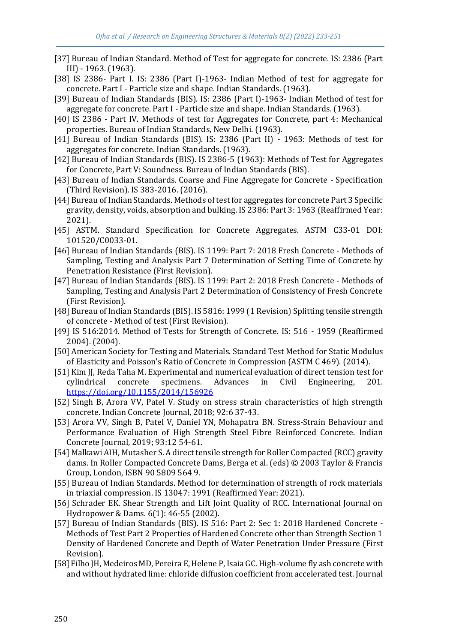- [37] Bureau of Indian Standard. Method of Test for aggregate for concrete. IS: 2386 (Part III) - 1963. (1963).
- [38] IS 2386- Part I. IS: 2386 (Part I)-1963- Indian Method of test for aggregate for concrete. Part I - Particle size and shape. Indian Standards. (1963).
- [39] Bureau of Indian Standards (BIS). IS: 2386 (Part I)-1963- Indian Method of test for aggregate for concrete. Part I - Particle size and shape. Indian Standards. (1963).
- [40] IS 2386 Part IV. Methods of test for Aggregates for Concrete, part 4: Mechanical properties. Bureau of Indian Standards, New Delhi. (1963).
- [41] Bureau of Indian Standards (BIS). IS: 2386 (Part II) 1963: Methods of test for aggregates for concrete. Indian Standards. (1963).
- [42] Bureau of Indian Standards (BIS). IS 2386-5 (1963): Methods of Test for Aggregates for Concrete, Part V: Soundness. Bureau of Indian Standards (BIS).
- [43] Bureau of Indian Standards. Coarse and Fine Aggregate for Concrete Specification (Third Revision). IS 383-2016. (2016).
- [44] Bureau of Indian Standards. Methods of test for aggregates for concrete Part 3 Specific gravity, density, voids, absorption and bulking. IS 2386: Part 3: 1963 (Reaffirmed Year: 2021).
- [45] ASTM. Standard Specification for Concrete Aggregates. ASTM C33-01 DOI: 101520/C0033-01.
- [46] Bureau of Indian Standards (BIS). IS 1199: Part 7: 2018 Fresh Concrete Methods of Sampling, Testing and Analysis Part 7 Determination of Setting Time of Concrete by Penetration Resistance (First Revision).
- [47] Bureau of Indian Standards (BIS). IS 1199: Part 2: 2018 Fresh Concrete Methods of Sampling, Testing and Analysis Part 2 Determination of Consistency of Fresh Concrete (First Revision).
- [48] Bureau of Indian Standards (BIS). IS 5816: 1999 (1 Revision) Splitting tensile strength of concrete - Method of test (First Revision).
- [49] IS 516:2014. Method of Tests for Strength of Concrete. IS: 516 1959 (Reaffirmed 2004). (2004).
- [50] American Society for Testing and Materials. Standard Test Method for Static Modulus of Elasticity and Poisson's Ratio of Concrete in Compression (ASTM C 469). (2014).
- [51] Kim JJ, Reda Taha M. Experimental and numerical evaluation of direct tension test for cylindrical concrete specimens. Advances in Civil Engineering, 201. <https://doi.org/10.1155/2014/156926>
- [52] Singh B, Arora VV, Patel V. Study on stress strain characteristics of high strength concrete. Indian Concrete Journal, 2018; 92:6 37-43.
- [53] Arora VV, Singh B, Patel V, Daniel YN, Mohapatra BN. Stress-Strain Behaviour and Performance Evaluation of High Strength Steel Fibre Reinforced Concrete. Indian Concrete Journal, 2019; 93:12 54-61.
- [54] Malkawi AIH, Mutasher S. A direct tensile strength for Roller Compacted (RCC) gravity dams. In Roller Compacted Concrete Dams, Berga et al. (eds) © 2003 Taylor & Francis Group, London, ISBN 90 5809 564 9.
- [55] Bureau of Indian Standards. Method for determination of strength of rock materials in triaxial compression. IS 13047: 1991 (Reaffirmed Year: 2021).
- [56] Schrader EK. Shear Strength and Lift Joint Quality of RCC. International Journal on Hydropower & Dams. 6(1): 46-55 (2002).
- [57] Bureau of Indian Standards (BIS). IS 516: Part 2: Sec 1: 2018 Hardened Concrete Methods of Test Part 2 Properties of Hardened Concrete other than Strength Section 1 Density of Hardened Concrete and Depth of Water Penetration Under Pressure (First Revision).
- [58] Filho JH, Medeiros MD, Pereira E, Helene P, Isaia GC. High-volume fly ash concrete with and without hydrated lime: chloride diffusion coefficient from accelerated test. Journal